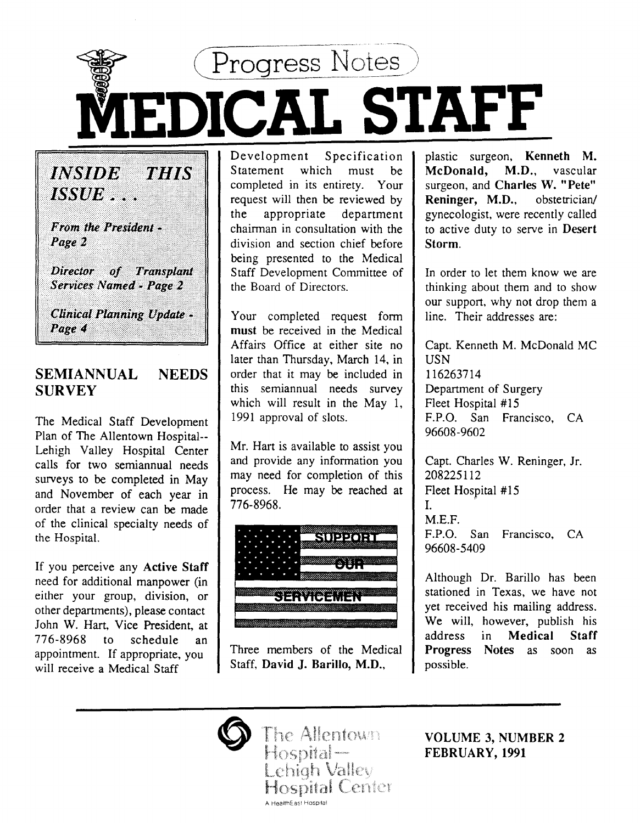

*INSTDE* 79 I I KY *ISSUE* . . . From the President -Page 2

Director of Transplant **Services Named - Page 2** 

**Clinical Planning Update -**Page 4

#### SEMIANNUAL **SURVEY NEEDS**

The Medical Staff Development Plan of The Allentown Hospital-- Lehigh Valley Hospital Center calls for two semiannual needs surveys to be completed in May and November of each year in order that a review can be made of the clinical specialty needs of the Hospital.

If you perceive any Active Staff need for additional manpower (in either your group, division, or other departments), please contact John W. Hart, Vice President, at 776-8968 to schedule an appointment. If appropriate, you will receive a Medical Staff

Development Specification Statement which must be completed in its entirety. Your request will then be reviewed by the appropriate department chairman in consultation with the division and section chief before being presented to the Medical Staff Development Committee of the Board of Directors.

Your completed request form must be received in the Medical Affairs Office at either site no later than Thursday, March 14, in order that it may be included in this semiannual needs survey which will result in the May 1, 1991 approval of slots.

Mr. Hart is available to assist you and provide any information you may need for completion of this process. He may be reached at 776-8968.



Three members of the Medical Staff, David J. Barillo, M.D.,

plastic surgeon, Kenneth M. McDonald, M.D., vascular surgeon, and Charles W. "Pete" Reninger, M.D., obstetrician/ gynecologist, were recently called to active duty to serve in Desert Storm.

In order to let them know we are thinking about them and to show our support, why not drop them a line. Their addresses are:

Capt. Kenneth M. McDonald MC USN 116263714 Department of Surgery Fleet Hospital #15 F.P.O. San Francisco, CA 96608-9602

Capt. Charles W. Reninger, Jr. 208225112 Fleet Hospital #15  $\mathbf{I}$ . M.E.F. F.P.O. San Francisco, CA 96608-5409

Although Dr. Barillo has been stationed in Texas, we have not yet received his mailing address. We will, however, publish his address in Medical Staff Progress Notes as soon as possible.



VOLUME 3, NUMBER 2 FEBRUARY, 1991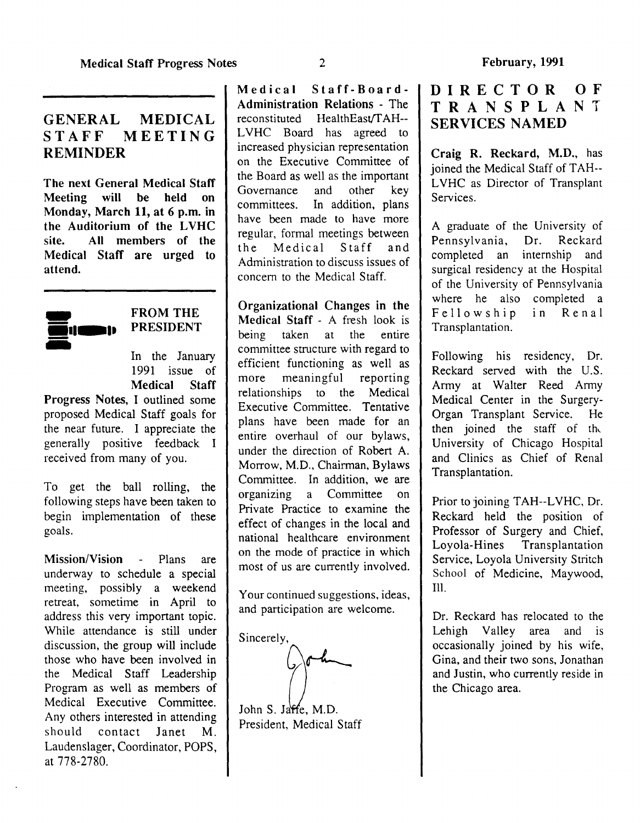#### GENERAL MEDICAL STAFF MEETING REMINDER

The next General Medical Staff Meeting will be held on Monday, March 11, at 6 p.m. in the Auditorium of the LVHC site. All members of the Medical Staff are urged to attend.



#### FROM THE PRESIDENT

In the January 1991 issue of Medical Staff

Progress Notes, I outlined some proposed Medical Staff goals for the near future. I appreciate the generally positive feedback I received from many of you.

To get the ball rolling, the following steps have been taken to begin implementation of these goals.

Mission/Vision - Plans are underway to schedule a special meeting, possibly a weekend retreat, sometime in April to address this very important topic. While attendance is still under discussion, the group will include those who have been involved in the Medical Staff Leadership Program as well as members of Medical Executive Committee. Any others interested in attending should contact Janet M. Laudenslager, Coordinator, POPS, at 778-2780.

Medical Staff-Board-Administration Relations - The reconstituted HealthEast/TAH--LVHC Board has agreed to mcreased physician representation on the Executive Committee of the Board as well as the important Governance and other key committees. In addition, plans have been made to have more regular, formal meetings between the Medical Staff and Administration to discuss issues of concem to the Medical Staff.

Organizational Changes in the Medical Staff - A fresh look is being taken at the entire committee structure with regard to efficient functioning as well as more meaningful reporting relationships to the Medical Executive Committee. Tentative plans have been made for an entire overhaul of our bylaws, under the direction of Robert A. Morrow, M.D., Chairman, Bylaws Committee. In addition, we are organizing a Committee on Private Practice to examine the effect of changes in the local and national healthcare environment on the mode of practice in which most of us are currently involved.

Your continued suggestions, ideas, and participation are welcome.

Sincerely,

John S. Jaffe, M.D.

President, Medical Staff

#### DIRECTOR OF TRANSPLANT SERVICES NAMED

Craig R. Reckard, M.D., has joined the Medical Staff of TAH-- LVHC as Director of Transplant Services.

A graduate of the University of Pennsylvania, Dr. Reckard completed an intemship and surgical residency at the Hospital of the University of Pennsylvania where he also completed a Fellowship In Renal Transplantation.

Following his residency, Dr. Reckard served with the U.S. Army at Walter Reed Army Medical Center in the Surgery-Organ Transplant Service. He then joined the staff of the University of Chicago Hospital and Clinics as Chief of Renal Transplantation.

Prior to joining TAH--LVHC, Dr. Reckard held the position of Professor of Surgery and Chief, Loyola-Hines Transplantation Service, Loyola University Stritch School of Medicine, Maywood, Ill. '

Dr. Reckard has relocated to the Lehigh Valley area and is occasionally joined by his wife Gina, and their two sons, Jonathan and Justin, who currently reside in the Chicago area.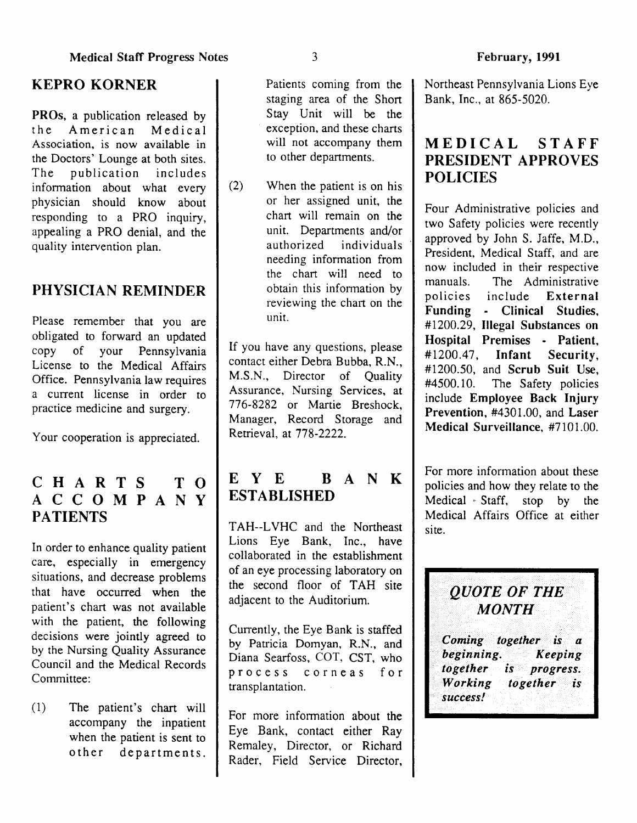# KEPRO KORNER

PROs, a publication released by the American Medical Association, is now available in the Doctors' Lounge at both sites. The publication includes information about what every physician should know about responding to a PRO inquiry, appealing a PRO denial, and the quality intervention plan.

# PHYSICIAN REMINDER

Please remember that you are obligated to forward an updated copy of your Pennsylvania License to the Medical Affairs Office. Pennsylvania law requires a current license in order to practice medicine and surgery.

Your cooperation is appreciated.

# CHARTS TO ACCOMPANY **PATIENTS**

In order to enhance quality patient care, especially in emergency situations, and decrease problems that have occurred when the patient's chart was not available with the patient, the following decisions were jointly agreed to by the Nursing Quality Assurance Council and the Medical Records Committee:

(1) The patient's chart will accompany the inpatient when the patient is sent to other departments.

Patients coming from the staging area of the Short Stay Unit will be the exception, and these charts will not accompany them to other departments.

(2) When the patient is on his or her assigned unit, the chart will remain on the unit. Departments and/or authorized individuals needing information from the chart will need to obtain this information by reviewing the chart on the unit.

If you have any questions, please contact either Debra Bubba, R.N., M.S.N., Director of Quality Assurance, Nursing Services, at 776-8282 or Martie Breshock Manager, Record Storage and Retrieval, at 778-2222.

# E Y E B A N K ESTABLISHED

TAH--LVHC and the Northeast Lions Eye Bank, Inc., have collaborated in the establishment of an eye processing laboratory on the second floor of TAH site adjacent to the Auditorium.

Currently, the Eye Bank is staffed by Patricia Domyan, R.N., and Diana Searfoss, COT, CST, who process corneas for transplantation.

For more information about the Eye Bank, contact either Ray Remaley, Director, or Richard Rader, Field Service Director,

Northeast Pennsylvania Lions Eye Bank, Inc., at 865-5020.

# MEDICAL STAFF PRESIDENT APPROVES POLICIES

Four Administrative policies and two Safety policies were recently approved by John S. Jaffe, M.D., President, Medical Staff, and are now included in their respective manuals. The Administrative policies include External Funding - Clinical Studies, #1200.29, Illegal Substances on Hospital Premises - Patient #1200.47, Infant Security, #1200.50, and Scrub Suit Use.  $#4500.10$ . The Safety policies include Employee Back Injury Prevention, #4301.00, and Laser Medical Surveillance, #7101.00.

For more information about these policies and how they relate to the Medical  $\cdot$  Staff, stop by the Medical Affairs Office at either site.

> *QUOTE OF THE MONTH*

*Coming together is a beginning. Keeping together is progress. Working together is success!* 

3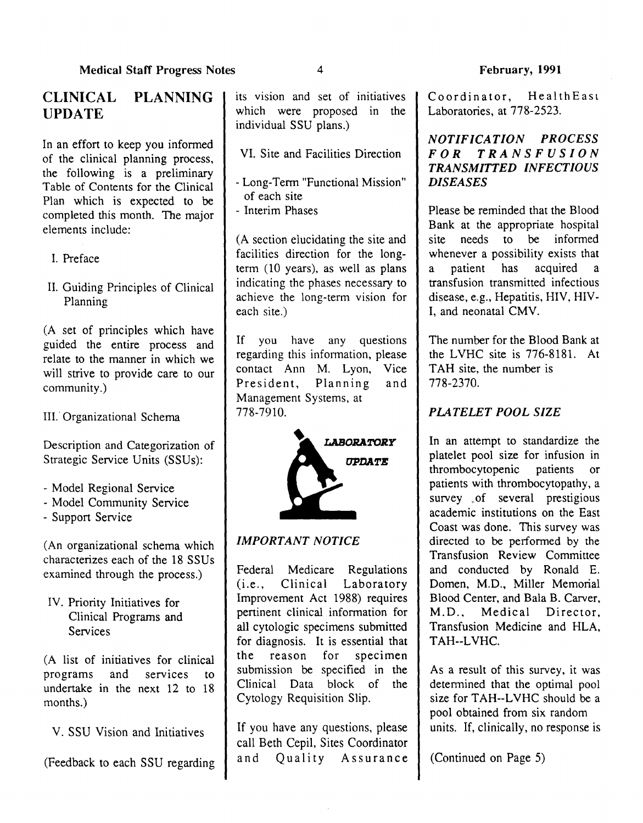# CLINICAL PLANNING UPDATE

In an effort to keep you informed of the clinical planning process, the following is a preliminary Table of Contents for the Clinical Plan which is expected to be completed this month. The major elements include:

- I. Preface
- II. Guiding Principles of Clinical Planning

(A set of principles which have guided the entire process and relate to the manner in which we will strive to provide care to our community.)

III. Organizational Schema

Description and Categorization of Strategic Service Units (SSUs):

- Model Regional Service
- Model Community Service
- Support Service

(An organizational schema which characterizes each of the 18 SSUs examined through the process.)

IV. Priority Initiatives for Clinical Programs and **Services** 

(A list of initiatives for clinical programs and services to undertake in the next 12 to 18 months.)

V. SSU Vision and Initiatives

(Feedback to each SSU regarding

its vision and set of initiatives I which were proposed in the individual SSU plans.)

VI. Site and Facilities Direction

- Long-Term "Functional Mission" of each site - Interim Phases

(A section elucidating the site and facilities direction for the longterm (10 years), as well as plans indicating the phases necessary to achieve the long-term vision for each site.)

If you have any questions regarding this information, please<br>contact Ann M. Lyon, Vice  $contact$  Ann M. Lyon, President, Planning and Management Systems, at 778-7910.



# *IMPORTANT NOTICE*

Federal Medicare Regulations (i.e., Clinical Laboratory Improvement Act 1988) requires pertinent clinical information for all cytologic specimens submitted for diagnosis. It is essential that the reason for specimen submission be specified in the Clinical Data block of the Cytology Requisition Slip.

If you have any questions, please call Beth Cepil, Sites Coordinator and Quality Assurance Coordinator, HealthEast Laboratories, at 778-2523.

#### *NOTIFICATION PROCESS FOR TRANSFUSION TRANSMITTED INFECTIOUS DISEASES*

Please be reminded that the Blood Bank at the appropriate hospital site needs to be informed whenever a possibility exists that a patient has acquired a transfusion transmitted infectious disease, e.g., Hepatitis, HIV, HIV-I, and neonatal CMV.

The number for the Blood Bank at the LVHC site is 776-8181. At TAH site, the number is 778-2370.

# *PlATELET POOL SIZE*

In an attempt to standardize the platelet pool size for infusion in thrombocytopenic patients or patients with thrombocytopathy, a survey of several prestigious academic institutions on the East Coast was done. This survey was directed to be performed by the Transfusion Review Committee and conducted by Ronald E. Domen, M.D., Miller Memorial Blood Center, and Bala B. Carver, M.D., Medical Director, Transfusion Medicine and HLA, TAH--LVHC.

As a result of this survey, it was determined that the optimal pool size for TAH--LVHC should be a pool obtained from six random units. If, clinically, no response is

(Continued on Page 5)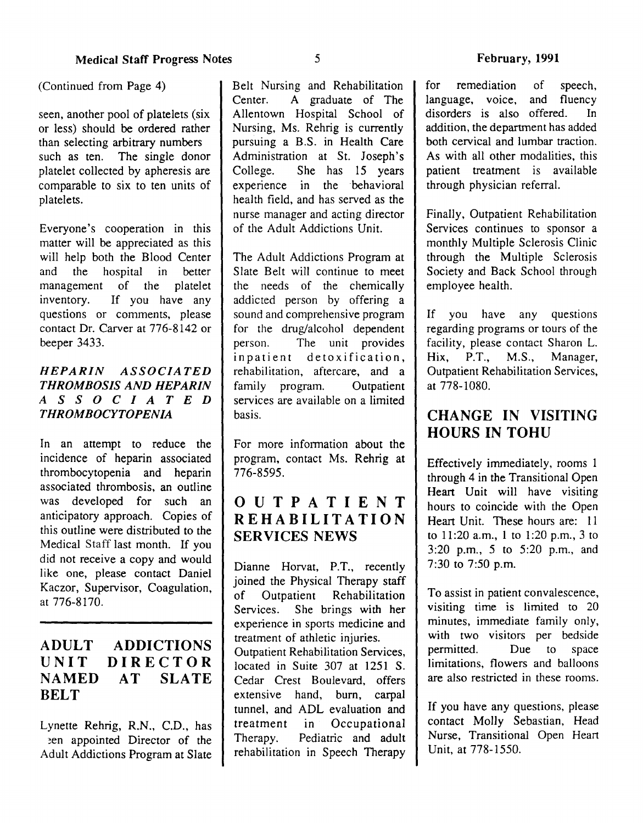(Continued from Page 4)

seen, another pool of platelets (six or less) should be ordered rather than selecting arbitrary numbers such as ten. The single donor platelet collected by apheresis are comparable to six to ten units of platelets.

Everyone's cooperation in this matter will be appreciated as this will help both the Blood Center and the hospital in better management of the platelet inventory. If you have any questions or comments, please contact Dr. Carver at 776-8142 or beeper 3433.

#### *HEPARIN ASSOCIATED THROMBOSIS AND HEPARIN ASSOCIATED THROMBOCYTOPENIA*

In an attempt to reduce the incidence of heparin associated thrombocytopenia and heparin associated thrombosis, an outline was developed for such an anticipatory approach. Copies of this outline were distributed to the Medical Staff last month. If you did not receive a copy and would like one, please contact Daniel Kaczor, Supervisor, Coagulation, at 776-8170.

#### ADULT UNIT NAMED BELT ADDICTIONS DIRECTOR AT SLATE

Lynette Rehrig, R.N., C.D., has ~en appointed Director of the Adult Addictions Program at Slate Belt Nursing and Rehabilitation Center. A graduate of The Allentown Hospital School of Nursing, Ms. Rehrig is currently pursuing a B.S. in Health Care Administration at St. Joseph's College. She has 15 years experience in the behavioral health field, and has served as the nurse manager and acting director of the Adult Addictions Unit.

The Adult Addictions Program at Slate Belt will continue to meet the needs of the chemically addicted person by offering a sound and comprehensive program for the drug/alcohol dependent person. The unit provides inpatient detoxification, rehabilitation, aftercare, and a family program. Outpatient services are available on a limited basis.

For more information about the program, contact Ms. Rehrig at 776-8595.

# OUTPATIENT REHABILITATION SERVICES NEWS

Dianne Horvat, P.T., recently joined the Physical Therapy staff of Outpatient Rehabilitation Services. She brings with her experience in sports medicine and treatment of athletic injuries. Outpatient Rehabilitation Services, located in Suite 307 at 1251 S. Cedar Crest Boulevard, offers extensive hand, burn, carpal tunnel, and ADL evaluation and treatment in Occupational Therapy. Pediatric and adult rehabilitation in Speech Therapy

for remediation of speech, language, voice, and fluency disorders is also offered. In addition, the department has added both cervical and lumbar traction. As with all other modalities, this patient treatment is available through physician referral.

Finally, Outpatient Rehabilitation Services continues to sponsor a monthly Multiple Sclerosis Clinic through the Multiple Sclerosis Society and Back School through employee health.

If you have any questions regarding programs or tours of the facility, please contact Sharon L.<br>Hix, P.T., M.S., Manager, Hix,  $P.T., M.S.,$ Outpatient Rehabilitation Services, at 778-1080.

# CHANGE IN VISITING HOURS IN TOHU

Effectively immediately, rooms 1 through 4 in the Transitional Open Heart Unit will have visiting hours to coincide with the Open Heart Unit. These hours are: 11 to 11:20 a.m., 1 to 1:20 p.m., 3 to 3:20 p.m., *5* to 5:20 p.m., and 7:30 to  $7:50$  p.m.

To assist in patient convalescence, visiting time is limited to 20 minutes, immediate family only, with two visitors per bedside permitted. Due to space limitations, flowers and balloons are also restricted in these rooms.

If you have any questions, please contact Molly Sebastian, Head Nurse, Transitional Open Heart Unit, at 778-1550.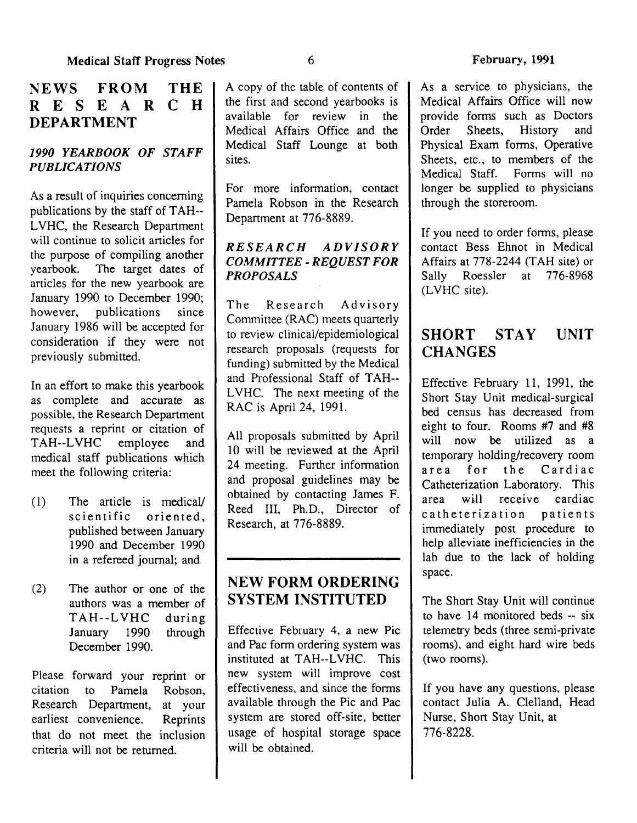# NEWS FROM THE R F S F A R C H R E S E A C H R DEPARTMENT

#### *1990 YEARBOOK OF STAFF PUBLICATIONS*

As a result of inquiries concerning publications by the staff of TAH--L VHC, the Research Department will continue to solicit articles for the purpose of compiling another<br>vearbook. The target dates of The target dates of articles for the new yearbook are January 1990 to December 1990;<br>however, publications since publications January 1986 will be accepted for consideration if they were not previously submitted.

In an effort to make this yearbook as complete and accurate as possible, the Research Department requests a reprint or citation of TAH--LVHC employee and medical staff publications which meet the following criteria:

- ( 1) The article is medicaV scientific oriented, published between January 1990 and December 1990 in a refereed journal; and
- (2) The author or one of the authors was a member of TAH--LVHC during January 1990 through December 1990.

Please forward your reprint or citation to Pamela Robson, Research Department, at your earliest convenience. Reprints that do not meet the inclusion criteria will not be returned.

A copy of the table of contents of the first and second yearbooks is available for review in the Medical Affairs Office and the Medical Staff Lounge at both sites.

For more information, contact Pamela Robson in the Research Department at 776-8889.

#### *RESEARCH ADVISORY COMMITTEE- REQUEST FOR PROPOSALS*

The Research Advisory Committee (RAC) meets quarterly to review clinical/epidemiological research proposals (requests for funding) submitted by the Medical and Professional Staff of TAH--LVHC. The next meeting of the RAC is April 24, 1991.

All proposals submitted by April 10 will be reviewed at the April 24 meeting. Further information and proposal guidelines may be obtained by contacting James F. Reed III, Ph.D., Director of Research, at 776-8889.

# NEW FORM ORDERING SYSTEM INSTITUTED

Effective February 4, a new Pic and Pac form ordering system was instituted at TAH--L VHC. This new system will improve cost effectiveness, and since the forms available through the Pic and Pac system are stored off-site, better usage of hospital storage space will be obtained.

As a service to physicians, the Medical Affairs Office will now provide forms such as Doctors Order Sheets, History and Physical Exam forms, Operative Sheets, etc., to members of the<br>Medical Staff. Forms will no Forms will no longer be supplied to physicians through the storeroom.

If you need to order forms, please contact Bess Ehnot in Medical Affairs at 778-2244 (T AH site) or Sally Roessler at 776-8968 (LVHC site).

#### SHORT STAY **CHANGES** UNIT

Effective February 11, 1991, the Short Stay Unit medical-surgical bed census has decreased from eight to four. Rooms #7 and #8 will now be utilized as a temporary holding/recovery room area for the Cardiac Catheterization Laboratory. This area will receive cardiac c a the terization patients immediately post procedure to help alleviate inefficiencies in the lab due to the lack of holding space.

The Short Stay Unit will continue to have 14 monitored beds -- six telemetry beds (three semi-private rooms), and eight hard wire beds (two rooms).

If you have any questions, please contact Julia A. Clelland, Head Nurse, Short Stay Unit, at 776-8228.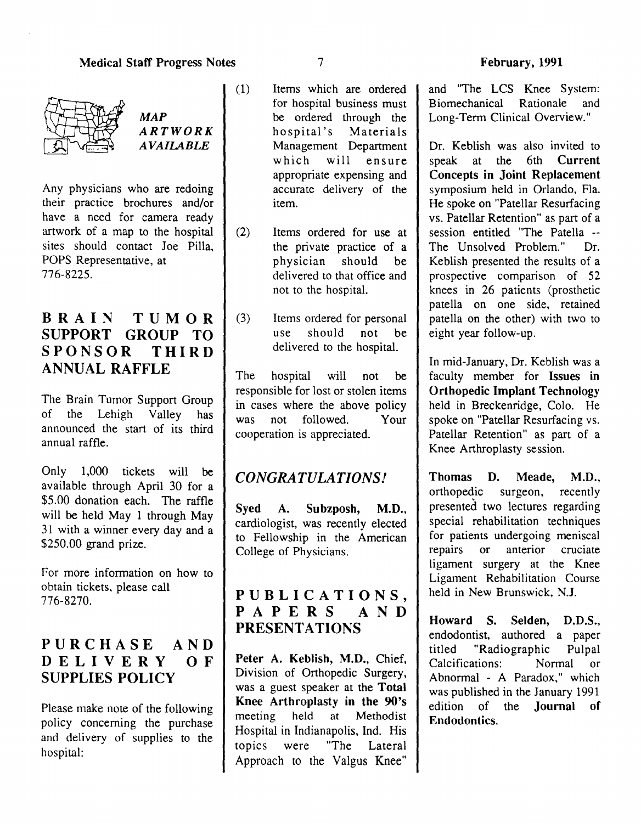#### Medical Staff Progress Notes 7



*MAP ARTWORK AVAILABLE* 

Any physicians who are redoing their practice brochures and/or have a need for camera ready artwork of a map to the hospital sites should contact Joe Pilla, POPS Representative, at 776-8225.

# BRAIN TUMOR SUPPORT GROUP TO SPONSOR THIRD ANNUAL RAFFLE

The Brain Tumor Support Group of the Lehigh Valley has announced the start of its third annual raffle.

Only 1,000 tickets will be available through April 30 for a \$5.00 donation each. The raffle will be held May 1 through May 31 with a winner every day and a \$250.00 grand prize.

For more information on how to obtain tickets, please call 776-8270.

# PURCHASE AND DELIVERY OF SUPPLIES POLICY

Please make note of the following policy concerning the purchase and delivery of supplies to the hospital:

- (1) Items which are ordered for hospital business must be ordered through the hospital's Materials Management Department which will ensure appropriate expensing and accurate delivery of the item.
- (2) Items ordered for use at the private practice of a physician should be delivered to that office and not to the hospital.
- (3) Items ordered for personal use should not be delivered to the hospital.

The hospital will not be responsible for lost or stolen items in cases where the above policy was not followed. Your cooperation is appreciated.

# *CONGRATULATIONS!*

Syed A. Subzposh, M.D., cardiologist, was recently elected to Fellowship in the American College of Physicians.

# PUBLICATIONS,<br>PAPERS AND PAPERS PRESENTATIONS

Peter A. Keblish, M.D., Chief, Division of Orthopedic Surgery, was a guest speaker at the Total Knee Arthroplasty in the 90's meeting held at Methodist Hospital in Indianapolis, Ind. His topics were "The Lateral Approach to the Valgus Knee"

and "The LCS Knee System: Biomechanical Rationale and Long-Term Clinical Overview."

Dr. Keblish was also invited to speak at the 6th Current Concepts in Joint Replacement symposium held in Orlando, Fla. He spoke on "Patellar Resurfacing vs. Patellar Retention" as part of a session entitled "The Patella -- The Unsolved Problem." Dr. Keblish presented the results of a prospective comparison of 52 knees in 26 patients (prosthetic patella on one side, retained patella on the other) with two to eight year follow-up.

In mid-January, Dr. Keblish was a faculty member for Issues in Orthopedic Implant Technology held in Breckenridge, Colo. He spoke on "Patellar Resurfacing vs. Patellar Retention" as part of a Knee Arthroplasty session.

Thomas D. Meade, M.D., orthopedic surgeon, recently presented two lectures regarding special rehabilitation techniques for patients undergoing meniscal repairs or anterior cruciate ligament surgery at the Knee Ligament Rehabilitation Course held in New Brunswick, N.J.

Howard S. Selden, D.D.S., endodontist, authored a paper titled "Radiographic Pulpal Calcifications: Normal or Abnormal - A Paradox," which was published in the January 1991 edition of the Journal of Endodontics.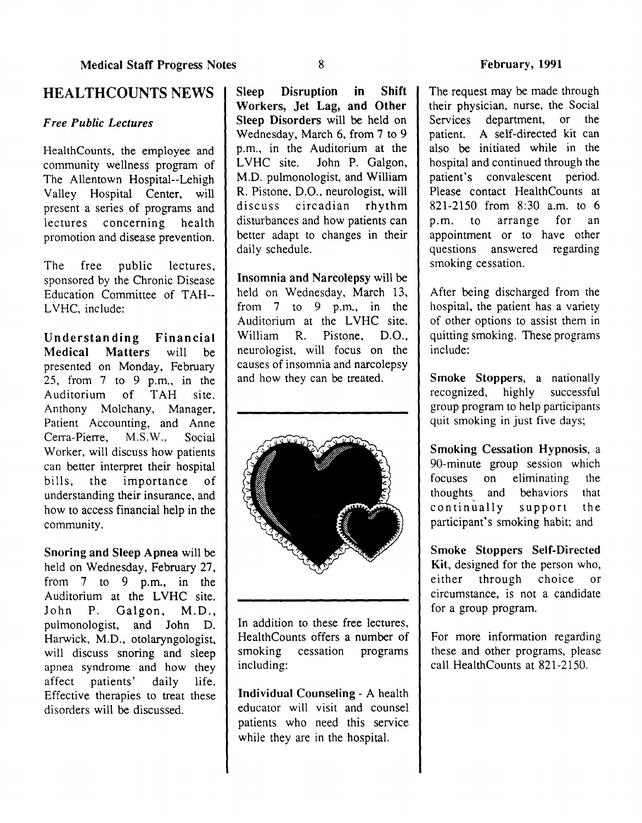#### HEALTHCOUNTS NEWS

#### *Free Public Lectures*

HealthCounts, the employee and community wellness program of The Allentown Hospital--Lehigh Valley Hospital Center, will present a series of programs and<br>lectures concerning health lectures concerning promotion and disease prevention.

The free public lectures, sponsored by the Chronic Disease Education Committee of TAH--LVHC, include:

Understanding Financial Matters will be presented on Monday, February 25, from 7 to 9 p.m., in the Auditorium of TAH site. Anthony Molchany, Manager, Patient Accounting, and Anne Cerra-Pierre, M.S.W., Social Worker, will discuss how patients can better interpret their hospital bills, the importance of understanding their insurance, and how to access financial help in the community.

Snoring and Sleep Apnea will be held on Wednesday, February 27, from 7 to 9 p.m., in the Auditorium at the LVHC site. John P. Galgon, M.D., pulmonologist, and John D. Harwick, M.D., otolaryngologist, will discuss snoring and sleep apnea syndrome and how they affect patients' daily life. Effective therapies to treat these disorders will be discussed.

Sleep Disruption in Shift Workers, Jet Lag, and Other Sleep Disorders will be held on Wednesday, March 6, from 7 to 9 p.m., in the Auditorium at the LVHC site. John P. Galgon, John P. Galgon, M.D. pulmonologist, and William R. Pistone, D.O., neurologist, will discuss circadian rhythm disturbances and how patients can better adapt to changes in their daily schedule.

Insomnia and Narcolepsy will be held on Wednesday, March 13, from 7 to 9 p.m., in the Auditorium at the LVHC site. William R. Pistone, D.O., neurologist, will focus on the causes of insomnia and narcolepsy and how they can be treated.



In addition to these free lectures, HealthCounts offers a number of smoking cessation programs including:

Individual Counseling- A health educator will visit and counsel patients who need this service while they are in the hospital.

The request may be made through their physician, nurse, the Social<br>Services department, or the department, patient. A self-directed kit can also be initiated while in the hospital and continued through the patient's convalescent period. Please contact HealthCounts at 821-2150 from 8:30 a.m. to 6 p.m. to arrange for an appointment or to have other<br>questions answered regarding questions answered smoking cessation.

After being discharged from the hospital, the patient has a variety of other options to assist them in quitting smoking. These programs include:

Smoke Stoppers, a nationally recognized, highly successful  $recognized$ , highly group program to help participants quit smoking in just five days;

Smoking Cessation Hypnosis, a 90-minute group session which focuses on eliminating the thoughts and behaviors that continually support the participant's smoking habit; and

Smoke Stoppers Self-Directed Kit, designed for the person who, either through choice or circumstance, is not a candidate for a group program.

For more information regarding these and other programs, please call HealthCounts at 821-2150.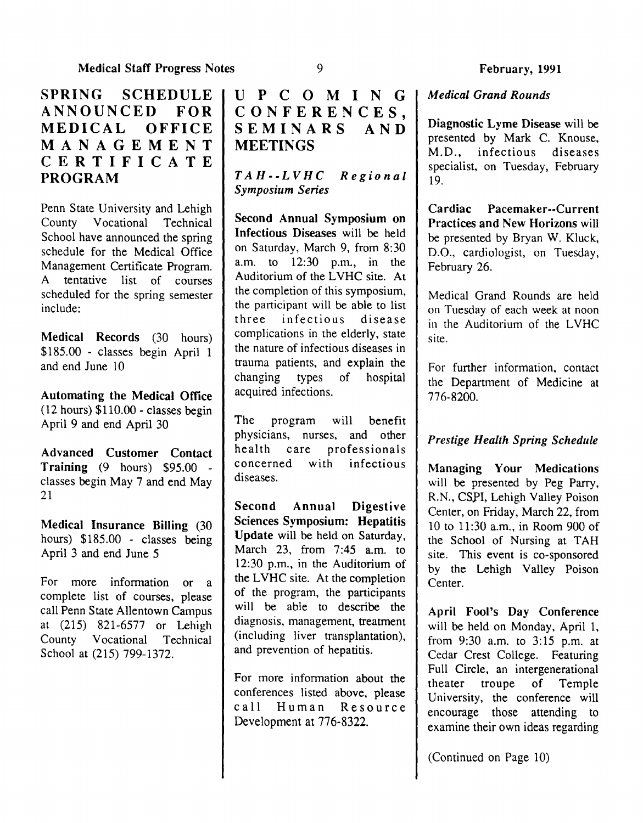# SPRING SCHEDULE I ANNOUNCED FOR MEDICAL OFFICE MANAGEMENT CERTIFICATE PROGRAM

Penn State University and Lehigh<br>County Vocational Technical County Vocational School have announced the spring schedule for the Medical Office Management Certificate Program. A tentative list of courses scheduled for the spring semester include:

Medical Records (30 hours) \$185.00 - classes begin April 1 and end June 10

Automating the Medical Office (12 hours) \$110.00- classes begin April 9 and end April 30

Advanced Customer Contact Training (9 hours) \$95.00 classes begin May 7 and end May 21

Medical Insurance Billing (30 hours) \$185.00 - classes being April 3 and end June 5

For more information or a complete list of courses, please call Penn State Allentown Campus at (215) 821-6577 or Lehigh County Vocational Technical School at (215) 799-1372.

# UPCOMINGI CONFERENCES,<br>SEMINARS AND **SEMINARS MEETINGS**

*TAH--LVHC Regional Symposium Series* 

Second Annual Symposium on Infectious Diseases will be held on Saturday, March 9, from 8:30 a.m. to 12:30 p.m., in the Auditorium of the LVHC site. At the completion of this symposium, the patticipant will be able to list three infectious disease complications in the elderly, state the nature of infectious diseases in trauma patients, and explain the changing types of hospital acquired infections.

The program will benefit physicians, nurses, and other health care professionals<br>concerned with infectious with infectious diseases.

Second Annual Digestive Sciences Symposium: Hepatitis Update will be held on Saturday, March 23, from 7:45 a.m. to 12:30 p.m., in the Auditorium of the LVHC site. At the completion of the program, the participants will be able to describe the diagnosis, management, treatment (including liver transplantation), and prevention of hepatitis.

For more information about the conferences listed above, please call Human Resource Development at 776-8322.

#### *Medical Grand Rounds*

Diagnostic Lyme Disease will be presented by Mark C. Knouse, M.D., infectious diseases specialist, on Tuesday, February 19.

Cardiac Pacemaker--Current Practices and New Horizons will be presented by Bryan W. Kluck, D.O., cardiologist, on Tuesday, February 26.

Medical Grand Rounds are held on Tuesday of each week at noon in the Auditorium of the LVHC site.

For further information, contact the Department of Medicine at 776-8200.

#### *Prestige Health Spring Schedule*

Managing Your Medications will be presented by Peg Parry, R.N., CSPI, Lehigh Valley Poison Center, on Friday, March 22, from 10 to 11:30 a.m., in Room 900 of the School of Nursing at TAH site. This event is co-sponsored by the Lehigh Valley Poison Center.

April Fool's Day Conference will be held on Monday, April 1, from 9:30 a.m. to 3:15 p.m. at Cedar Crest College. Featuring Full Circle, an intergenerational theater troupe of Temple University, the conference will encourage those attending to examine their own ideas regarding

(Continued on Page 10)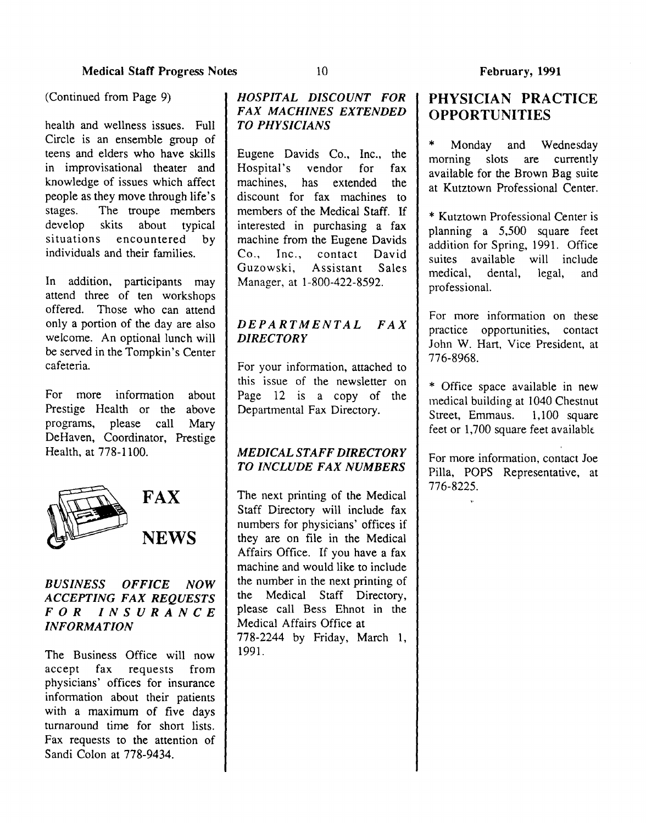(Continued from Page 9)

health and wellness issues. Full Circle is an ensemble group of teens and elders who have skills in improvisational theater and knowledge of issues which affect people as they move through life's stages. The troupe members<br>develop skits about typical develop skits about typical situations encountered by individuals and their families.

In addition, participants may attend three of ten workshops offered. Those who can attend only a portion of the day are also welcome. An optional lunch will be served in the Tompkin's Center cafeteria.

For more information about Prestige Health or the above programs, please call Mary DeHaven, Coordinator, Prestige Health, at 778-1100.



# FAX NEWS

#### *BUSINESS OFFICE NOW ACCEPTING FAX REQUESTS FOR INSURANCE INFORMATION*

The Business Office will now accept fax requests from physicians' offices for insurance information about their patients with a maximum of five days turnaround time for short lists. Fax requests to the attention of Sandi Colon at 778-9434.

#### *HOSPITAL DISCOUNT FOR FAX MACHINES EXTENDED TO PHYSICIANS*

Eugene Davids Co., Inc., the Hospital's vendor for fax machines, has extended the discount for fax machines to members of the Medical Staff. If interested in purchasing a fax machine from the Eugene Davids Co., Inc., contact David Guzowski, Assistant Sales Manager, at 1-800-422-8592.

#### *DEPARTMENTAL FAX DIRECTORY*

For your information, attached to this issue of the newsletter on Page 12 is a copy of the Departmental Fax Directory.

#### *MEDICAL STAFF DIRECTORY TO INCLUDE FAX NUMBERS*

The next printing of the Medical Staff Directory will include fax numbers for physicians' offices if they are on file in the Medical Affairs Office. If you have a fax machine and would like to include the number in the next printing of the Medical Staff Directory, please call Bess Ehnot in the Medical Affairs Office at 778-2244 by Friday, March 1, 1991.

# PHYSICIAN PRACTICE OPPORTUNITIES

Monday and Wednesday morning slots are currently available for the Brown Bag suite at Kutztown Professional Center.

\* Kutztown Professional Center is planning a 5,500 square feet addition for Spring, 1991. Office suites available will include<br>medical, dental, legal, and medical, dental, legal, and professional.

For more information on these practice opportunities, contact John W. Hart, Vice President, at 776-8968.

\* Office space available in new medical building at 1040 Chestnut Street, Emmaus. 1,100 square feet or 1,700 square feet available.

For more information, contact Joe Pilla, POPS Representative, at 776-8225.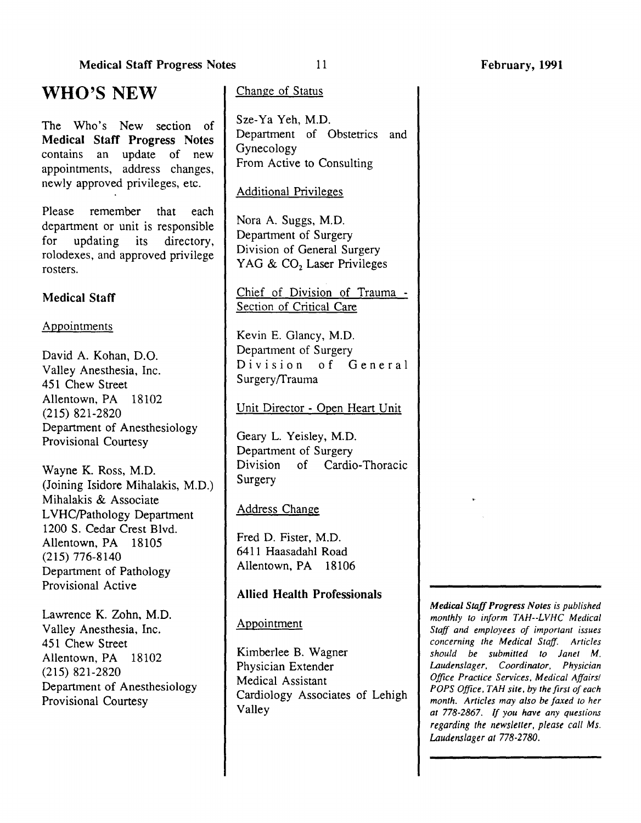#### Medical Staff Progress Notes

The Who's New section of Medical Staff Progress Notes contains an update of new appointments, address changes, newly approved privileges, etc.

Please remember that each department or unit is responsible for updating its directory, rolodexes, and approved privilege rosters.

#### Medical Staff

#### Appointments

David A. Kohan, D.O. Valley Anesthesia, Inc. 451 Chew Street Allentown, PA 18102 (215) 821-2820 Department of Anesthesiology Provisional Courtesy

Wayne K. Ross, M.D. (Joining Isidore Mihalakis, M.D.) Mihalakis & Associate L VHC/Pathology Department 1200 S. Cedar Crest Blvd. Allentown, PA 18105 (215) 776-8140 Department of Pathology Provisional Active

Lawrence K. Zohn, M.D. Valley Anesthesia, Inc. 451 Chew Street Allentown, PA 18102 (215) 821-2820 Department of Anesthesiology Provisional Courtesy

#### Change of Status

Sze-Ya Yeh, M.D. Department of Obstetrics and Gynecology From Active to Consulting

#### Additional Privileges

Nora A. Suggs, M.D. Department of Surgery Division of General Surgery YAG & CO<sub>2</sub> Laser Privileges

#### Chief of Division of Trauma - Section of Critical Care

Kevin E. Glancy, M.D. Department of Surgery Division of General Surgery/Trauma

Unit Director- Open Heart Unit

Geary L. Yeisley, M.D. Department of Surgery Division of Cardia-Thoracic Surgery

#### Address Change

Fred D. Fister, M.D. 6411 Haasadahl Road Allentown, PA 18106

#### Allied Health Professionals

Appointment

Kimberlee B. Wagner Physician Extender Medical Assistant Cardiology Associates of Lehigh Valley

*Medical Staff Progress Notes is published monthly to inform TAH--LVHC Medical Staff and employees of important issues concerning the Medical Staff. Articles should be submitted to Janet M. Laudenslager, Coordinator, Physician Office Practice Services, Medical Affairs/ POPS Office, TAH site, by the first of each month. Articles may also be faxed to her at 778-2867.* If *you have any questions regarding the newsletter, please call Ms. Laudenslager at 778-2780.* 

11